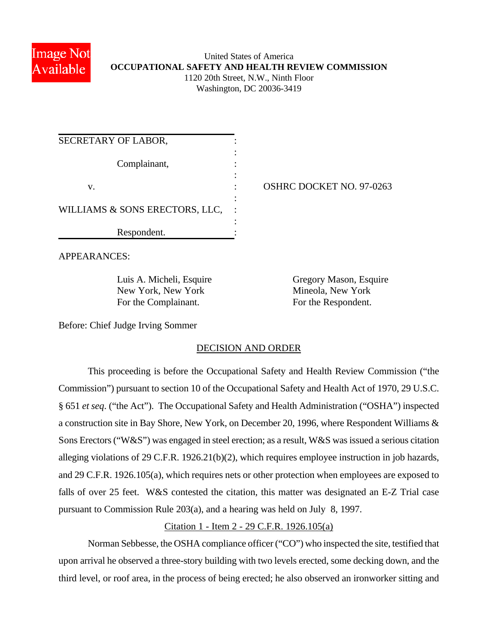

### United States of America **OCCUPATIONAL SAFETY AND HEALTH REVIEW COMMISSION** 1120 20th Street, N.W., Ninth Floor Washington, DC 20036-3419

| SECRETARY OF LABOR,            |                          |
|--------------------------------|--------------------------|
| Complainant,                   |                          |
| V.                             | OSHRC DOCKET NO. 97-0263 |
| WILLIAMS & SONS ERECTORS, LLC, |                          |
| Respondent.                    |                          |

APPEARANCES:

New York, New York Mineola, New York For the Complainant. For the Respondent.

Luis A. Micheli, Esquire Gregory Mason, Esquire

Before: Chief Judge Irving Sommer

# DECISION AND ORDER

This proceeding is before the Occupational Safety and Health Review Commission ("the Commission") pursuant to section 10 of the Occupational Safety and Health Act of 1970, 29 U.S.C. § 651 *et seq*. ("the Act"). The Occupational Safety and Health Administration ("OSHA") inspected a construction site in Bay Shore, New York, on December 20, 1996, where Respondent Williams & Sons Erectors ("W&S") was engaged in steel erection; as a result, W&S was issued a serious citation alleging violations of 29 C.F.R. 1926.21(b)(2), which requires employee instruction in job hazards, and 29 C.F.R. 1926.105(a), which requires nets or other protection when employees are exposed to falls of over 25 feet. W&S contested the citation, this matter was designated an E-Z Trial case pursuant to Commission Rule 203(a), and a hearing was held on July 8, 1997.

# Citation 1 - Item 2 - 29 C.F.R. 1926.105(a)

Norman Sebbesse, the OSHA compliance officer ("CO") who inspected the site, testified that upon arrival he observed a three-story building with two levels erected, some decking down, and the third level, or roof area, in the process of being erected; he also observed an ironworker sitting and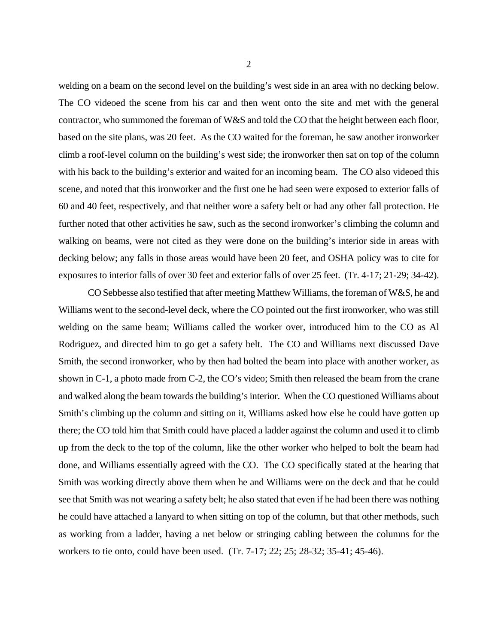welding on a beam on the second level on the building's west side in an area with no decking below. The CO videoed the scene from his car and then went onto the site and met with the general contractor, who summoned the foreman of W&S and told the CO that the height between each floor, based on the site plans, was 20 feet. As the CO waited for the foreman, he saw another ironworker climb a roof-level column on the building's west side; the ironworker then sat on top of the column with his back to the building's exterior and waited for an incoming beam. The CO also videoed this scene, and noted that this ironworker and the first one he had seen were exposed to exterior falls of 60 and 40 feet, respectively, and that neither wore a safety belt or had any other fall protection. He further noted that other activities he saw, such as the second ironworker's climbing the column and walking on beams, were not cited as they were done on the building's interior side in areas with decking below; any falls in those areas would have been 20 feet, and OSHA policy was to cite for exposures to interior falls of over 30 feet and exterior falls of over 25 feet. (Tr. 4-17; 21-29; 34-42).

CO Sebbesse also testified that after meeting Matthew Williams, the foreman of W&S, he and Williams went to the second-level deck, where the CO pointed out the first ironworker, who was still welding on the same beam; Williams called the worker over, introduced him to the CO as Al Rodriguez, and directed him to go get a safety belt. The CO and Williams next discussed Dave Smith, the second ironworker, who by then had bolted the beam into place with another worker, as shown in C-1, a photo made from C-2, the CO's video; Smith then released the beam from the crane and walked along the beam towards the building's interior. When the CO questioned Williams about Smith's climbing up the column and sitting on it, Williams asked how else he could have gotten up there; the CO told him that Smith could have placed a ladder against the column and used it to climb up from the deck to the top of the column, like the other worker who helped to bolt the beam had done, and Williams essentially agreed with the CO. The CO specifically stated at the hearing that Smith was working directly above them when he and Williams were on the deck and that he could see that Smith was not wearing a safety belt; he also stated that even if he had been there was nothing he could have attached a lanyard to when sitting on top of the column, but that other methods, such as working from a ladder, having a net below or stringing cabling between the columns for the workers to tie onto, could have been used. (Tr. 7-17; 22; 25; 28-32; 35-41; 45-46).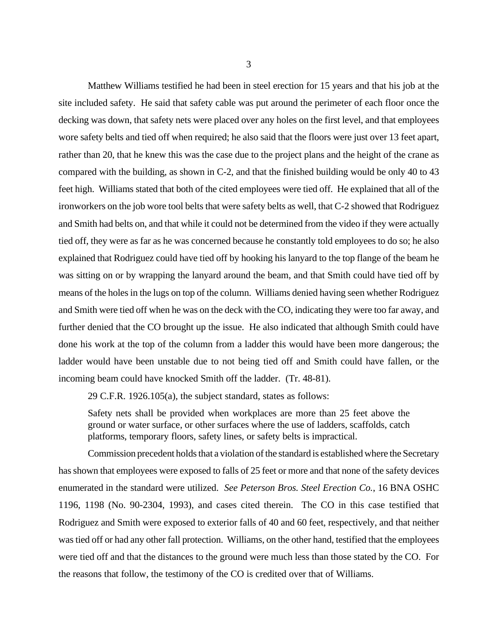Matthew Williams testified he had been in steel erection for 15 years and that his job at the site included safety. He said that safety cable was put around the perimeter of each floor once the decking was down, that safety nets were placed over any holes on the first level, and that employees wore safety belts and tied off when required; he also said that the floors were just over 13 feet apart, rather than 20, that he knew this was the case due to the project plans and the height of the crane as compared with the building, as shown in C-2, and that the finished building would be only 40 to 43 feet high. Williams stated that both of the cited employees were tied off. He explained that all of the ironworkers on the job wore tool belts that were safety belts as well, that C-2 showed that Rodriguez and Smith had belts on, and that while it could not be determined from the video if they were actually tied off, they were as far as he was concerned because he constantly told employees to do so; he also explained that Rodriguez could have tied off by hooking his lanyard to the top flange of the beam he was sitting on or by wrapping the lanyard around the beam, and that Smith could have tied off by means of the holes in the lugs on top of the column. Williams denied having seen whether Rodriguez and Smith were tied off when he was on the deck with the CO, indicating they were too far away, and further denied that the CO brought up the issue. He also indicated that although Smith could have done his work at the top of the column from a ladder this would have been more dangerous; the ladder would have been unstable due to not being tied off and Smith could have fallen, or the incoming beam could have knocked Smith off the ladder. (Tr. 48-81).

29 C.F.R. 1926.105(a), the subject standard, states as follows:

Safety nets shall be provided when workplaces are more than 25 feet above the ground or water surface, or other surfaces where the use of ladders, scaffolds, catch platforms, temporary floors, safety lines, or safety belts is impractical.

Commission precedent holds that a violation of the standard is established where the Secretary has shown that employees were exposed to falls of 25 feet or more and that none of the safety devices enumerated in the standard were utilized. *See Peterson Bros. Steel Erection Co.*, 16 BNA OSHC 1196, 1198 (No. 90-2304, 1993), and cases cited therein. The CO in this case testified that Rodriguez and Smith were exposed to exterior falls of 40 and 60 feet, respectively, and that neither was tied off or had any other fall protection. Williams, on the other hand, testified that the employees were tied off and that the distances to the ground were much less than those stated by the CO. For the reasons that follow, the testimony of the CO is credited over that of Williams.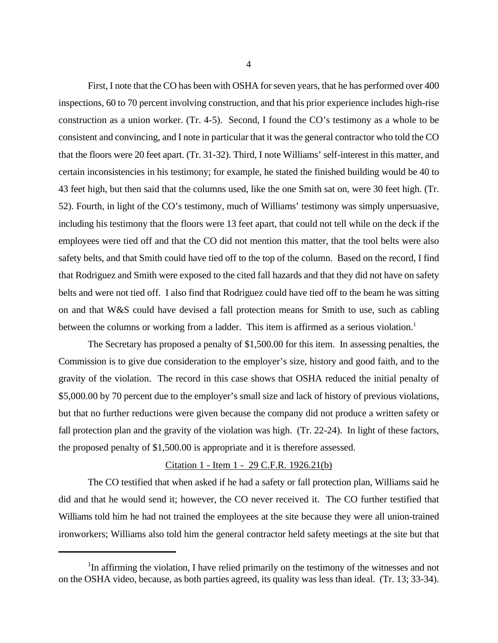First, I note that the CO has been with OSHA for seven years, that he has performed over 400 inspections, 60 to 70 percent involving construction, and that his prior experience includes high-rise construction as a union worker. (Tr. 4-5). Second, I found the CO's testimony as a whole to be consistent and convincing, and I note in particular that it was the general contractor who told the CO that the floors were 20 feet apart. (Tr. 31-32). Third, I note Williams' self-interest in this matter, and certain inconsistencies in his testimony; for example, he stated the finished building would be 40 to 43 feet high, but then said that the columns used, like the one Smith sat on, were 30 feet high. (Tr. 52). Fourth, in light of the CO's testimony, much of Williams' testimony was simply unpersuasive, including his testimony that the floors were 13 feet apart, that could not tell while on the deck if the employees were tied off and that the CO did not mention this matter, that the tool belts were also safety belts, and that Smith could have tied off to the top of the column. Based on the record, I find that Rodriguez and Smith were exposed to the cited fall hazards and that they did not have on safety belts and were not tied off. I also find that Rodriguez could have tied off to the beam he was sitting on and that W&S could have devised a fall protection means for Smith to use, such as cabling between the columns or working from a ladder. This item is affirmed as a serious violation.<sup>1</sup>

The Secretary has proposed a penalty of \$1,500.00 for this item. In assessing penalties, the Commission is to give due consideration to the employer's size, history and good faith, and to the gravity of the violation. The record in this case shows that OSHA reduced the initial penalty of \$5,000.00 by 70 percent due to the employer's small size and lack of history of previous violations, but that no further reductions were given because the company did not produce a written safety or fall protection plan and the gravity of the violation was high. (Tr. 22-24). In light of these factors, the proposed penalty of \$1,500.00 is appropriate and it is therefore assessed.

#### Citation 1 - Item 1 - 29 C.F.R. 1926.21(b)

The CO testified that when asked if he had a safety or fall protection plan, Williams said he did and that he would send it; however, the CO never received it. The CO further testified that Williams told him he had not trained the employees at the site because they were all union-trained ironworkers; Williams also told him the general contractor held safety meetings at the site but that

<sup>&</sup>lt;sup>1</sup>In affirming the violation, I have relied primarily on the testimony of the witnesses and not on the OSHA video, because, as both parties agreed, its quality was less than ideal. (Tr. 13; 33-34).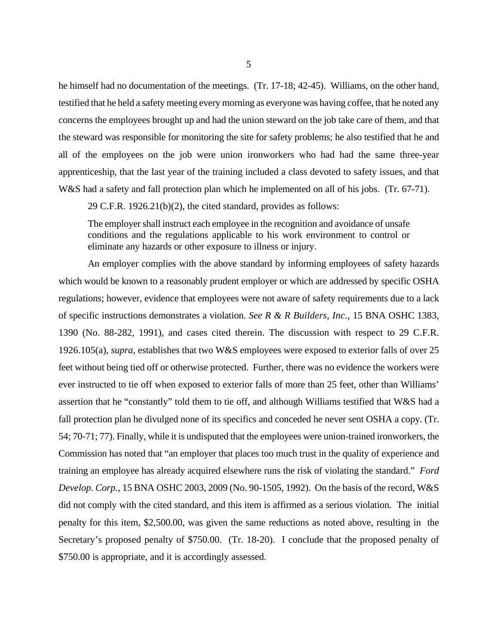he himself had no documentation of the meetings. (Tr. 17-18; 42-45). Williams, on the other hand, testified that he held a safety meeting every morning as everyone was having coffee, that he noted any concerns the employees brought up and had the union steward on the job take care of them, and that the steward was responsible for monitoring the site for safety problems; he also testified that he and all of the employees on the job were union ironworkers who had had the same three-year apprenticeship, that the last year of the training included a class devoted to safety issues, and that W&S had a safety and fall protection plan which he implemented on all of his jobs. (Tr. 67-71).

29 C.F.R. 1926.21(b)(2), the cited standard, provides as follows:

The employer shall instruct each employee in the recognition and avoidance of unsafe conditions and the regulations applicable to his work environment to control or eliminate any hazards or other exposure to illness or injury.

An employer complies with the above standard by informing employees of safety hazards which would be known to a reasonably prudent employer or which are addressed by specific OSHA regulations; however, evidence that employees were not aware of safety requirements due to a lack of specific instructions demonstrates a violation. *See R & R Builders, Inc.*, 15 BNA OSHC 1383, 1390 (No. 88-282, 1991), and cases cited therein. The discussion with respect to 29 C.F.R. 1926.105(a), *supra*, establishes that two W&S employees were exposed to exterior falls of over 25 feet without being tied off or otherwise protected. Further, there was no evidence the workers were ever instructed to tie off when exposed to exterior falls of more than 25 feet, other than Williams' assertion that he "constantly" told them to tie off, and although Williams testified that W&S had a fall protection plan he divulged none of its specifics and conceded he never sent OSHA a copy. (Tr. 54; 70-71; 77). Finally, while it is undisputed that the employees were union-trained ironworkers, the Commission has noted that "an employer that places too much trust in the quality of experience and training an employee has already acquired elsewhere runs the risk of violating the standard." *Ford Develop. Corp.*, 15 BNA OSHC 2003, 2009 (No. 90-1505, 1992). On the basis of the record, W&S did not comply with the cited standard, and this item is affirmed as a serious violation. The initial penalty for this item, \$2,500.00, was given the same reductions as noted above, resulting in the Secretary's proposed penalty of \$750.00. (Tr. 18-20). I conclude that the proposed penalty of \$750.00 is appropriate, and it is accordingly assessed.